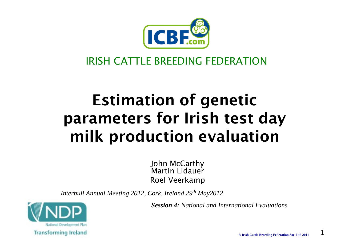

#### IRISH CATTLE BREEDING FEDERATION

### Estimation of genetic parameters for Irish test day milk production evaluation

John McCarthy Martin LidauerRoel Veerkamp

*Interbull Annual Meeting 2012, Cork, Ireland 29th May2012*

*Session 4: National and International Evaluations*



**© Irish Cattle Breeding Federation Soc. Ltd 2011**

1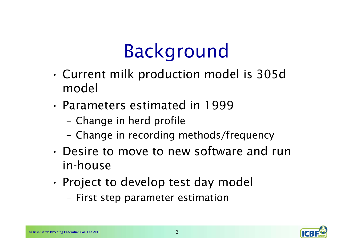# Background

- • Current milk production model is 305d model
- Parameters estimated in 1999
	- Change in herd profile
	- Change in recording methods/frequency
- Desire to move to new software and run in-house
- • Project to develop test day model
	- First step parameter estimation

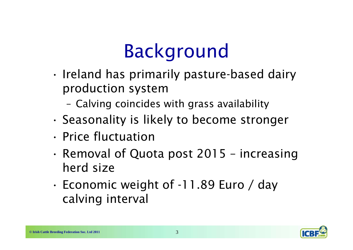# Background

- • Ireland has primarily pasture-based dairy production system
	- –Calving coincides with grass availability
- •Seasonality is likely to become stronger
- Price fluctuation
- • Removal of Quota post 2015 – increasing herd size
- • Economic weight of -11.89 Euro / day calving interval

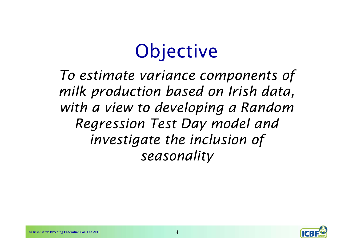# **Objective**

*To estimate variance components of milk production based on Irish data, with a view to developing a Random Regression Test Day model and investigate the inclusion of seasonality*

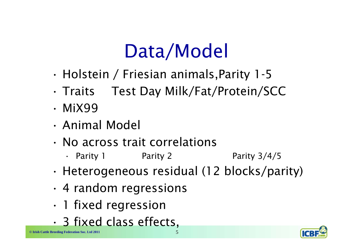# Data/Model

- •Holstein / Friesian animals,Parity 1-5
- •Traits Test Day Milk/Fat/Protein/SCC
- MiX99
- Animal Model
- No across trait correlations
	- Parity 1 Parity 2 Parity 3/4/5
- •Heterogeneous residual (12 blocks/parity)
- •4 random regressions
- •1 fixed regression
- •3 fixed class effects,

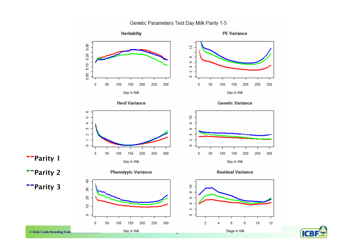Genetic Parameters Test Day Milk Parity 1-5



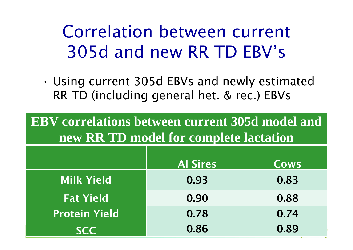### Correlation between current 305d and new RR TD EBV's

• Using current 305d EBVs and newly estimated RR TD (including general het. & rec.) EBVs

**EBV correlations between current 305d model and new RR TD model for complete lactation**

|                      | <b>Al Sires</b> | <b>Cows</b> |
|----------------------|-----------------|-------------|
| <b>Milk Yield</b>    | 0.93            | 0.83        |
| <b>Fat Yield</b>     | 0.90            | 0.88        |
| <b>Protein Yield</b> | 0.78            | 0.74        |
| <b>SCC</b>           | 0.86            | 0.89        |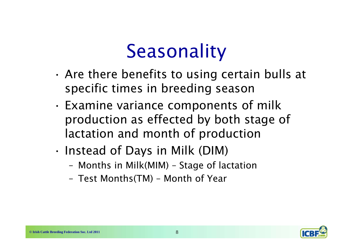# **Seasonality**

- • Are there benefits to using certain bulls at specific times in breeding season
- • Examine variance components of milk production as effected by both stage of lactation and month of production
- • Instead of Days in Milk (DIM)
	- Months in Milk(MIM) Stage of lactation
	- Test Months(TM) Month of Year

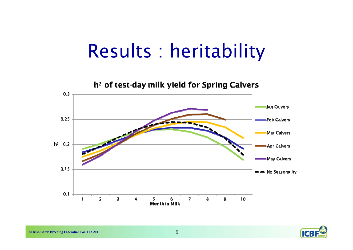### Results : heritability



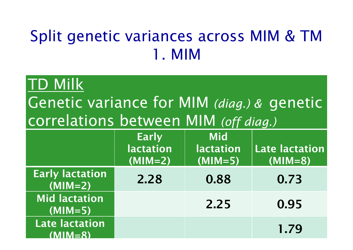#### Split genetic variances across MIM & TM 1. MIM

#### TD Milk

Genetic variance for MIM *(diag.) &* genetic correlations between MIM *(off diag.)*

|                                      | <b>Early</b><br><b>lactation</b><br>$(MIM=2)$ | <b>Mid</b><br><b>lactation</b><br>$(MIM=5)$ | Late lactation<br>$(MIM=8)$ |
|--------------------------------------|-----------------------------------------------|---------------------------------------------|-----------------------------|
| <b>Early lactation</b><br>$(MIM=2)$  | 2.28                                          | 0.88                                        | 0.73                        |
| <b>Mid lactation</b><br>$(MIM=5)$    |                                               | 2.25                                        | 0.95                        |
| <b>Late lactation</b><br>$(MIM = 8)$ |                                               |                                             | 1.79                        |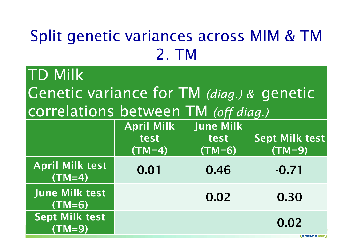### Split genetic variances across MIM & TM 2. TM

#### TD Milk

Genetic variance for TM *(diag.) &* genetic correlations between TM *(off diag.)*

|                                    | <b>April Milk</b><br>test<br>$(TM=4)$ | <b>June Milk</b><br>test<br>$(TM=6)$ | <b>Sept Milk test</b><br>$(TM=9)$ |
|------------------------------------|---------------------------------------|--------------------------------------|-----------------------------------|
| <b>April Milk test</b><br>$(TM=4)$ | 0.01                                  | 0.46                                 | $-0.71$                           |
| <b>June Milk test</b><br>$(TM=6)$  |                                       | 0.02                                 | 0.30                              |
| Sept Milk test<br>$(TM=9)$         |                                       |                                      | 0.02                              |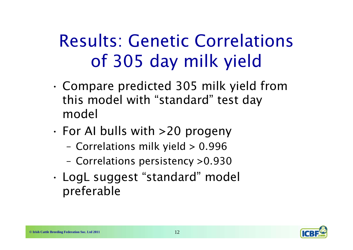### Results: Genetic Correlations of 305 day milk yield

- • Compare predicted 305 milk yield from this model with "standard" test day model
- • For AI bulls with >20 progeny
	- –Correlations milk yield > 0.996
	- –Correlations persistency >0.930
- • LogL suggest "standard" model preferable

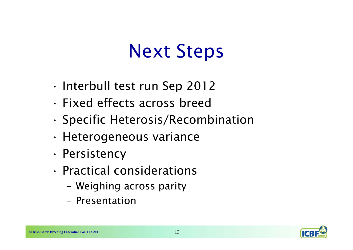## Next Steps

- •Interbull test run Sep 2012
- Fixed effects across breed
- •Specific Heterosis/Recombination
- •Heterogeneous variance
- •Persistency
- Practical considerations
	- Weighing across parity
	- Presentation